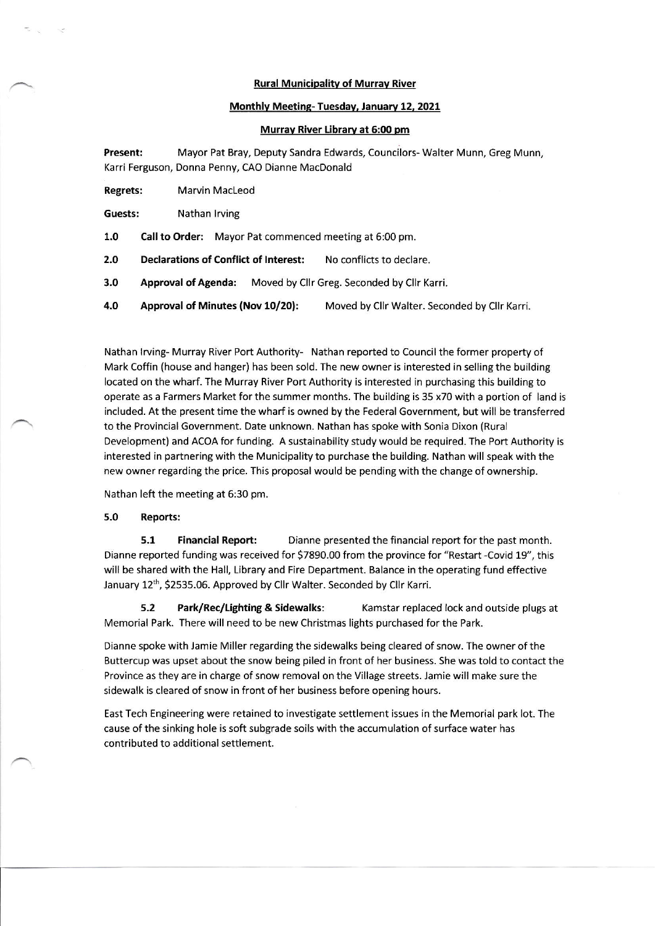## Rural Municipalitv of Murrav River

## Monthly Meeting- Tuesday, January 12, 2021

## Murrav River Library at 5:00 pm

Present: Mayor Pat Bray, Deputy Sandra Edwards, Councilors- Walter Munn, Greg Munn, Karri Ferguson, Donna Penny, CAO Dianne MacDonald

Regrets: Marvin MacLeod

Guests: Nathan lrving

1.0 Call to Order: Mayor Pat commenced meeting at 6:00 pm.

2.0 Declarations of Conflict of Interest: No conflicts to declare.

3.0 Approval of Agenda: Moved by Cllr Greg. Seconded by Cllr Karri.

4.0 Approval of Minutes (Nov 10/20): Moved by Cllr Walter. Seconded by Cllr Karri.

Nathan lrving- Murray River Port Authority- Nathan reported to Council the former property of Mark Coffin (house and hanger) has been sold. The new owner is interested in selling the building located on the wharf. The Murray River Port Authority is interested in purchasing this building to operate as a Farmers Market for the summer months. The building is 35 x70 with a portion of land is included. At the present time the wharf is owned by the Federal Government, but will be transferred to the Provincial Government. Date unknown. Nathan has spoke with Sonia Dixon (Rural Development) and ACOA for funding. A sustainability study would be required. The Port Authority is interested in partnering with the Municipality to purchase the building. Nathan will speak with the new owner regarding the price. This proposal would be pending with the change of ownership.

Nathan left the meeting at 6:30 pm.

## $5.0$ Reports:

5.1 Financial Report: Dianne presented the financial report forthe past month. Dianne reported funding was received for 57890.00 from the province for "Restart -Covid 19", this will be shared with the Hall, Library and Fire Department. Balance in the operating fund effective January 12<sup>th</sup>, \$2535.06. Approved by Cllr Walter. Seconded by Cllr Karri.

5.2 Park/Rec/Lighting & Sidewalks: Kamstar replaced lock and outside plugs at Memorial Park. There will need to be new Christmas lights purchased for the Park.

Dianne spoke with Jamie Miller regarding the sidewalks being cleared of snow. The owner of the Buttercup was upset about the snow being piled in front of her business. She was told to contact the Province as they are in charge of snow removal on the Village streets. Jamie will make sure the sidewalk is cleared of snow in front of her business before opening hours.

East Tech Engineering were retained to investigate settlement issues in the Memorial park lot. The cause of the sinking hole is soft subgrade soils with the accumulation of surface water has contributed to additional settlement.